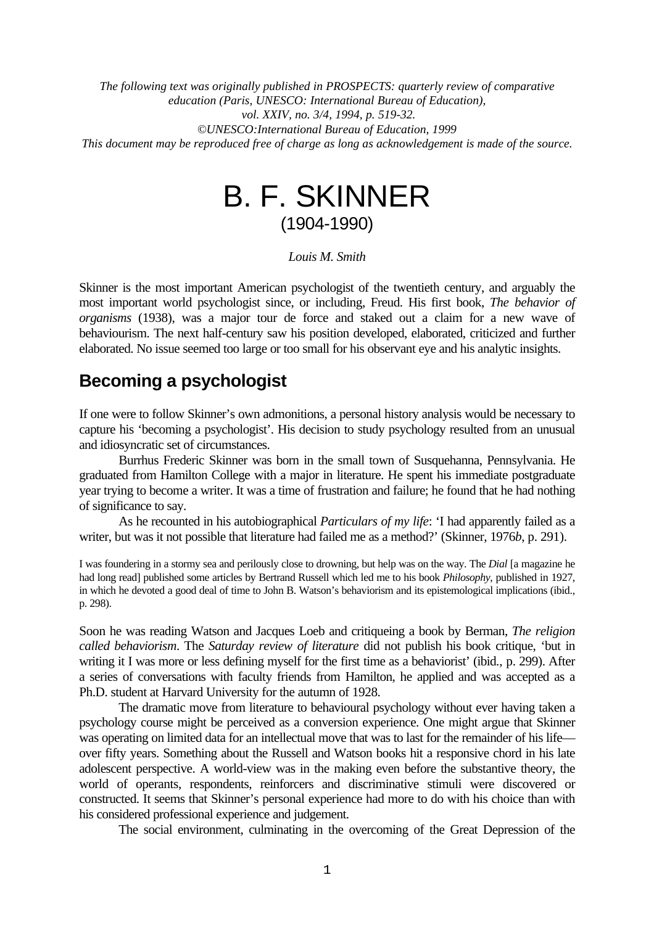*The following text was originally published in PROSPECTS: quarterly review of comparative education (Paris, UNESCO: International Bureau of Education), vol. XXIV, no. 3/4, 1994, p. 519-32. ©UNESCO:International Bureau of Education, 1999 This document may be reproduced free of charge as long as acknowledgement is made of the source.*

# B. F. SKINNER (1904-1990)

*Louis M. Smith*

Skinner is the most important American psychologist of the twentieth century, and arguably the most important world psychologist since, or including, Freud. His first book, *The behavior of organisms* (1938), was a major tour de force and staked out a claim for a new wave of behaviourism. The next half-century saw his position developed, elaborated, criticized and further elaborated. No issue seemed too large or too small for his observant eye and his analytic insights.

### **Becoming a psychologist**

If one were to follow Skinner's own admonitions, a personal history analysis would be necessary to capture his 'becoming a psychologist'. His decision to study psychology resulted from an unusual and idiosyncratic set of circumstances.

Burrhus Frederic Skinner was born in the small town of Susquehanna, Pennsylvania. He graduated from Hamilton College with a major in literature. He spent his immediate postgraduate year trying to become a writer. It was a time of frustration and failure; he found that he had nothing of significance to say.

As he recounted in his autobiographical *Particulars of my life*: 'I had apparently failed as a writer, but was it not possible that literature had failed me as a method?' (Skinner, 1976*b*, p. 291).

I was foundering in a stormy sea and perilously close to drowning, but help was on the way. The *Dial* [a magazine he had long read] published some articles by Bertrand Russell which led me to his book *Philosophy*, published in 1927, in which he devoted a good deal of time to John B. Watson's behaviorism and its epistemological implications (ibid., p. 298).

Soon he was reading Watson and Jacques Loeb and critiqueing a book by Berman, *The religion called behaviorism*. The *Saturday review of literature* did not publish his book critique, 'but in writing it I was more or less defining myself for the first time as a behaviorist' (ibid., p. 299). After a series of conversations with faculty friends from Hamilton, he applied and was accepted as a Ph.D. student at Harvard University for the autumn of 1928.

The dramatic move from literature to behavioural psychology without ever having taken a psychology course might be perceived as a conversion experience. One might argue that Skinner was operating on limited data for an intellectual move that was to last for the remainder of his life over fifty years. Something about the Russell and Watson books hit a responsive chord in his late adolescent perspective. A world-view was in the making even before the substantive theory, the world of operants, respondents, reinforcers and discriminative stimuli were discovered or constructed. It seems that Skinner's personal experience had more to do with his choice than with his considered professional experience and judgement.

The social environment, culminating in the overcoming of the Great Depression of the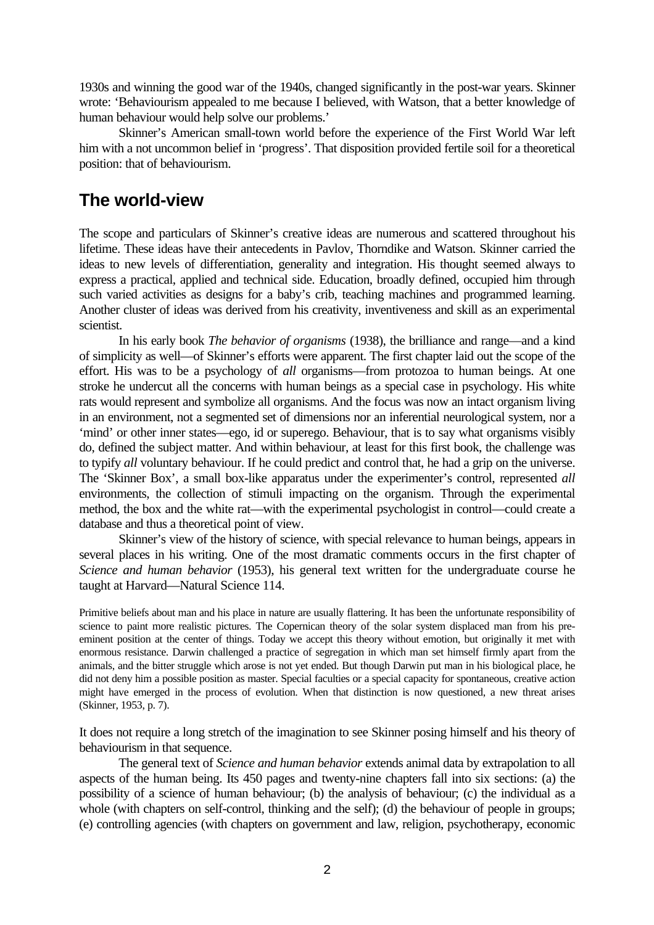1930s and winning the good war of the 1940s, changed significantly in the post-war years. Skinner wrote: 'Behaviourism appealed to me because I believed, with Watson, that a better knowledge of human behaviour would help solve our problems.'

Skinner's American small-town world before the experience of the First World War left him with a not uncommon belief in 'progress'. That disposition provided fertile soil for a theoretical position: that of behaviourism.

### **The world-view**

The scope and particulars of Skinner's creative ideas are numerous and scattered throughout his lifetime. These ideas have their antecedents in Pavlov, Thorndike and Watson. Skinner carried the ideas to new levels of differentiation, generality and integration. His thought seemed always to express a practical, applied and technical side. Education, broadly defined, occupied him through such varied activities as designs for a baby's crib, teaching machines and programmed learning. Another cluster of ideas was derived from his creativity, inventiveness and skill as an experimental scientist.

In his early book *The behavior of organisms* (1938), the brilliance and range—and a kind of simplicity as well—of Skinner's efforts were apparent. The first chapter laid out the scope of the effort. His was to be a psychology of *all* organisms—from protozoa to human beings. At one stroke he undercut all the concerns with human beings as a special case in psychology. His white rats would represent and symbolize all organisms. And the focus was now an intact organism living in an environment, not a segmented set of dimensions nor an inferential neurological system, nor a 'mind' or other inner states—ego, id or superego. Behaviour, that is to say what organisms visibly do, defined the subject matter. And within behaviour, at least for this first book, the challenge was to typify *all* voluntary behaviour. If he could predict and control that, he had a grip on the universe. The 'Skinner Box', a small box-like apparatus under the experimenter's control, represented *all* environments, the collection of stimuli impacting on the organism. Through the experimental method, the box and the white rat—with the experimental psychologist in control—could create a database and thus a theoretical point of view.

Skinner's view of the history of science, with special relevance to human beings, appears in several places in his writing. One of the most dramatic comments occurs in the first chapter of *Science and human behavior* (1953), his general text written for the undergraduate course he taught at Harvard—Natural Science 114.

Primitive beliefs about man and his place in nature are usually flattering. It has been the unfortunate responsibility of science to paint more realistic pictures. The Copernican theory of the solar system displaced man from his preeminent position at the center of things. Today we accept this theory without emotion, but originally it met with enormous resistance. Darwin challenged a practice of segregation in which man set himself firmly apart from the animals, and the bitter struggle which arose is not yet ended. But though Darwin put man in his biological place, he did not deny him a possible position as master. Special faculties or a special capacity for spontaneous, creative action might have emerged in the process of evolution. When that distinction is now questioned, a new threat arises (Skinner, 1953, p. 7).

It does not require a long stretch of the imagination to see Skinner posing himself and his theory of behaviourism in that sequence.

The general text of *Science and human behavior* extends animal data by extrapolation to all aspects of the human being. Its 450 pages and twenty-nine chapters fall into six sections: (a) the possibility of a science of human behaviour; (b) the analysis of behaviour; (c) the individual as a whole (with chapters on self-control, thinking and the self); (d) the behaviour of people in groups; (e) controlling agencies (with chapters on government and law, religion, psychotherapy, economic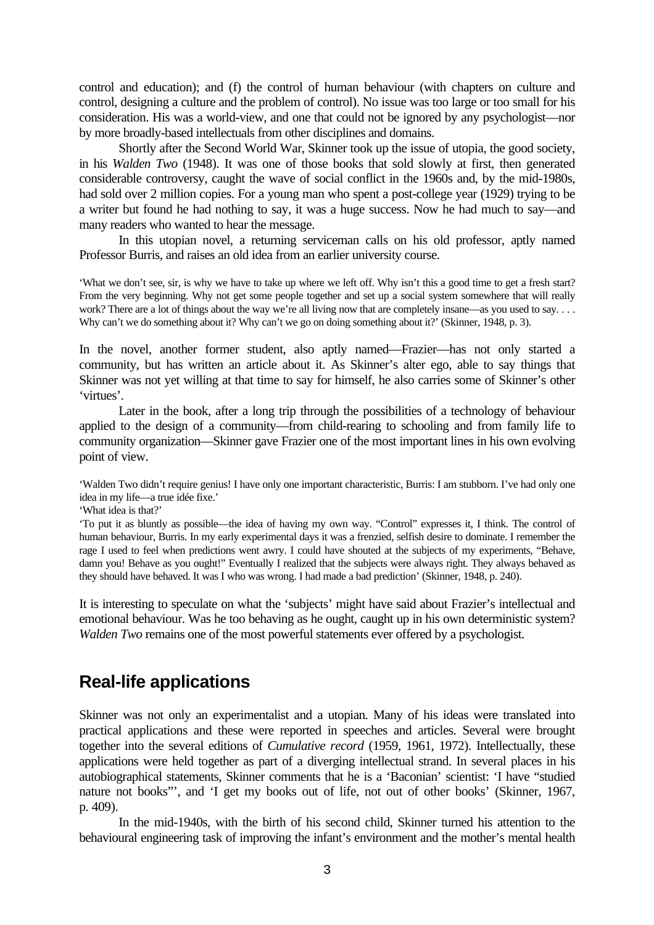control and education); and (f) the control of human behaviour (with chapters on culture and control, designing a culture and the problem of control). No issue was too large or too small for his consideration. His was a world-view, and one that could not be ignored by any psychologist—nor by more broadly-based intellectuals from other disciplines and domains.

Shortly after the Second World War, Skinner took up the issue of utopia, the good society, in his *Walden Two* (1948). It was one of those books that sold slowly at first, then generated considerable controversy, caught the wave of social conflict in the 1960s and, by the mid-1980s, had sold over 2 million copies. For a young man who spent a post-college year (1929) trying to be a writer but found he had nothing to say, it was a huge success. Now he had much to say—and many readers who wanted to hear the message.

In this utopian novel, a returning serviceman calls on his old professor, aptly named Professor Burris, and raises an old idea from an earlier university course.

'What we don't see, sir, is why we have to take up where we left off. Why isn't this a good time to get a fresh start? From the very beginning. Why not get some people together and set up a social system somewhere that will really work? There are a lot of things about the way we're all living now that are completely insane—as you used to say.... Why can't we do something about it? Why can't we go on doing something about it?' (Skinner, 1948, p. 3).

In the novel, another former student, also aptly named—Frazier—has not only started a community, but has written an article about it. As Skinner's alter ego, able to say things that Skinner was not yet willing at that time to say for himself, he also carries some of Skinner's other 'virtues'.

Later in the book, after a long trip through the possibilities of a technology of behaviour applied to the design of a community—from child-rearing to schooling and from family life to community organization—Skinner gave Frazier one of the most important lines in his own evolving point of view.

'Walden Two didn't require genius! I have only one important characteristic, Burris: I am stubborn. I've had only one idea in my life—a true idée fixe.'

'What idea is that?'

'To put it as bluntly as possible—the idea of having my own way. "Control" expresses it, I think. The control of human behaviour, Burris. In my early experimental days it was a frenzied, selfish desire to dominate. I remember the rage I used to feel when predictions went awry. I could have shouted at the subjects of my experiments, "Behave, damn you! Behave as you ought!" Eventually I realized that the subjects were always right. They always behaved as they should have behaved. It was I who was wrong. I had made a bad prediction' (Skinner, 1948, p. 240).

It is interesting to speculate on what the 'subjects' might have said about Frazier's intellectual and emotional behaviour. Was he too behaving as he ought, caught up in his own deterministic system? *Walden Two* remains one of the most powerful statements ever offered by a psychologist.

# **Real-life applications**

Skinner was not only an experimentalist and a utopian. Many of his ideas were translated into practical applications and these were reported in speeches and articles. Several were brought together into the several editions of *Cumulative record* (1959, 1961, 1972). Intellectually, these applications were held together as part of a diverging intellectual strand. In several places in his autobiographical statements, Skinner comments that he is a 'Baconian' scientist: 'I have "studied nature not books"', and 'I get my books out of life, not out of other books' (Skinner, 1967, p. 409).

In the mid-1940s, with the birth of his second child, Skinner turned his attention to the behavioural engineering task of improving the infant's environment and the mother's mental health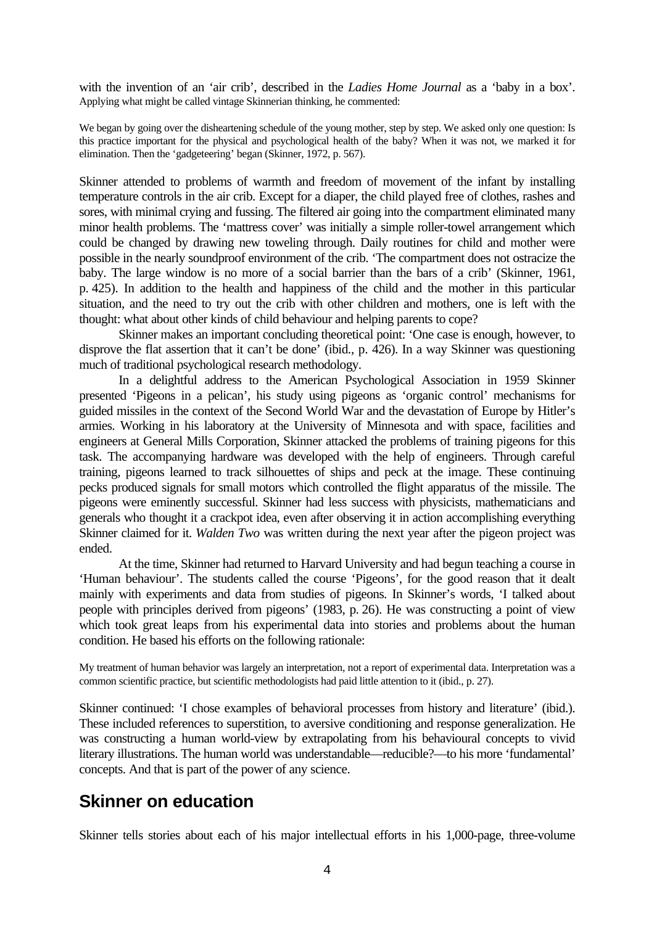with the invention of an 'air crib', described in the *Ladies Home Journal* as a 'baby in a box'. Applying what might be called vintage Skinnerian thinking, he commented:

We began by going over the disheartening schedule of the young mother, step by step. We asked only one question: Is this practice important for the physical and psychological health of the baby? When it was not, we marked it for elimination. Then the 'gadgeteering' began (Skinner, 1972, p. 567).

Skinner attended to problems of warmth and freedom of movement of the infant by installing temperature controls in the air crib. Except for a diaper, the child played free of clothes, rashes and sores, with minimal crying and fussing. The filtered air going into the compartment eliminated many minor health problems. The 'mattress cover' was initially a simple roller-towel arrangement which could be changed by drawing new toweling through. Daily routines for child and mother were possible in the nearly soundproof environment of the crib. 'The compartment does not ostracize the baby. The large window is no more of a social barrier than the bars of a crib' (Skinner, 1961, p. 425). In addition to the health and happiness of the child and the mother in this particular situation, and the need to try out the crib with other children and mothers, one is left with the thought: what about other kinds of child behaviour and helping parents to cope?

Skinner makes an important concluding theoretical point: 'One case is enough, however, to disprove the flat assertion that it can't be done' (ibid., p. 426). In a way Skinner was questioning much of traditional psychological research methodology.

In a delightful address to the American Psychological Association in 1959 Skinner presented 'Pigeons in a pelican', his study using pigeons as 'organic control' mechanisms for guided missiles in the context of the Second World War and the devastation of Europe by Hitler's armies. Working in his laboratory at the University of Minnesota and with space, facilities and engineers at General Mills Corporation, Skinner attacked the problems of training pigeons for this task. The accompanying hardware was developed with the help of engineers. Through careful training, pigeons learned to track silhouettes of ships and peck at the image. These continuing pecks produced signals for small motors which controlled the flight apparatus of the missile. The pigeons were eminently successful. Skinner had less success with physicists, mathematicians and generals who thought it a crackpot idea, even after observing it in action accomplishing everything Skinner claimed for it. *Walden Two* was written during the next year after the pigeon project was ended.

At the time, Skinner had returned to Harvard University and had begun teaching a course in 'Human behaviour'. The students called the course 'Pigeons', for the good reason that it dealt mainly with experiments and data from studies of pigeons. In Skinner's words, 'I talked about people with principles derived from pigeons' (1983, p. 26). He was constructing a point of view which took great leaps from his experimental data into stories and problems about the human condition. He based his efforts on the following rationale:

My treatment of human behavior was largely an interpretation, not a report of experimental data. Interpretation was a common scientific practice, but scientific methodologists had paid little attention to it (ibid., p. 27).

Skinner continued: 'I chose examples of behavioral processes from history and literature' (ibid.). These included references to superstition, to aversive conditioning and response generalization. He was constructing a human world-view by extrapolating from his behavioural concepts to vivid literary illustrations. The human world was understandable—reducible?—to his more 'fundamental' concepts. And that is part of the power of any science.

# **Skinner on education**

Skinner tells stories about each of his major intellectual efforts in his 1,000-page, three-volume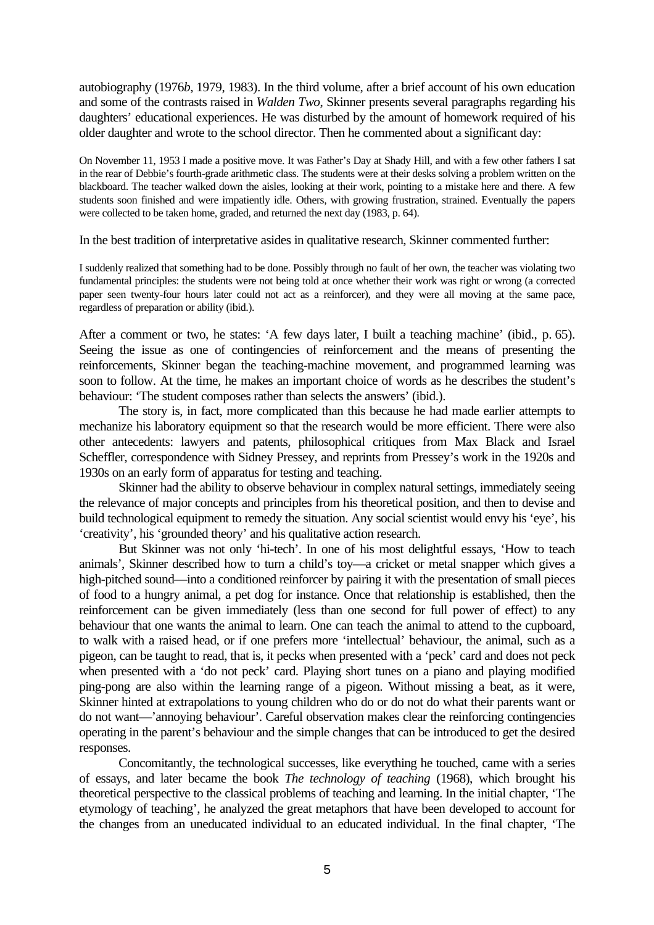autobiography (1976*b*, 1979, 1983). In the third volume, after a brief account of his own education and some of the contrasts raised in *Walden Two*, Skinner presents several paragraphs regarding his daughters' educational experiences. He was disturbed by the amount of homework required of his older daughter and wrote to the school director. Then he commented about a significant day:

On November 11, 1953 I made a positive move. It was Father's Day at Shady Hill, and with a few other fathers I sat in the rear of Debbie's fourth-grade arithmetic class. The students were at their desks solving a problem written on the blackboard. The teacher walked down the aisles, looking at their work, pointing to a mistake here and there. A few students soon finished and were impatiently idle. Others, with growing frustration, strained. Eventually the papers were collected to be taken home, graded, and returned the next day (1983, p. 64).

In the best tradition of interpretative asides in qualitative research, Skinner commented further:

I suddenly realized that something had to be done. Possibly through no fault of her own, the teacher was violating two fundamental principles: the students were not being told at once whether their work was right or wrong (a corrected paper seen twenty-four hours later could not act as a reinforcer), and they were all moving at the same pace, regardless of preparation or ability (ibid.).

After a comment or two, he states: 'A few days later, I built a teaching machine' (ibid., p. 65). Seeing the issue as one of contingencies of reinforcement and the means of presenting the reinforcements, Skinner began the teaching-machine movement, and programmed learning was soon to follow. At the time, he makes an important choice of words as he describes the student's behaviour: 'The student composes rather than selects the answers' (ibid.).

The story is, in fact, more complicated than this because he had made earlier attempts to mechanize his laboratory equipment so that the research would be more efficient. There were also other antecedents: lawyers and patents, philosophical critiques from Max Black and Israel Scheffler, correspondence with Sidney Pressey, and reprints from Pressey's work in the 1920s and 1930s on an early form of apparatus for testing and teaching.

Skinner had the ability to observe behaviour in complex natural settings, immediately seeing the relevance of major concepts and principles from his theoretical position, and then to devise and build technological equipment to remedy the situation. Any social scientist would envy his 'eye', his 'creativity', his 'grounded theory' and his qualitative action research.

But Skinner was not only 'hi-tech'. In one of his most delightful essays, 'How to teach animals', Skinner described how to turn a child's toy—a cricket or metal snapper which gives a high-pitched sound—into a conditioned reinforcer by pairing it with the presentation of small pieces of food to a hungry animal, a pet dog for instance. Once that relationship is established, then the reinforcement can be given immediately (less than one second for full power of effect) to any behaviour that one wants the animal to learn. One can teach the animal to attend to the cupboard, to walk with a raised head, or if one prefers more 'intellectual' behaviour, the animal, such as a pigeon, can be taught to read, that is, it pecks when presented with a 'peck' card and does not peck when presented with a 'do not peck' card. Playing short tunes on a piano and playing modified ping-pong are also within the learning range of a pigeon. Without missing a beat, as it were, Skinner hinted at extrapolations to young children who do or do not do what their parents want or do not want—'annoying behaviour'. Careful observation makes clear the reinforcing contingencies operating in the parent's behaviour and the simple changes that can be introduced to get the desired responses.

Concomitantly, the technological successes, like everything he touched, came with a series of essays, and later became the book *The technology of teaching* (1968), which brought his theoretical perspective to the classical problems of teaching and learning. In the initial chapter, 'The etymology of teaching', he analyzed the great metaphors that have been developed to account for the changes from an uneducated individual to an educated individual. In the final chapter, 'The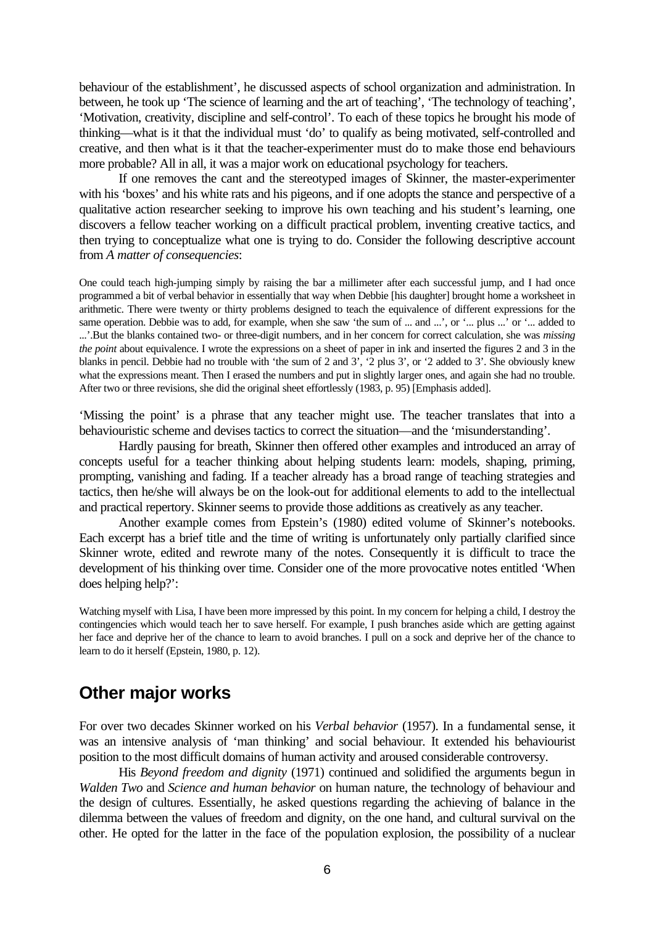behaviour of the establishment', he discussed aspects of school organization and administration. In between, he took up 'The science of learning and the art of teaching', 'The technology of teaching', 'Motivation, creativity, discipline and self-control'. To each of these topics he brought his mode of thinking—what is it that the individual must 'do' to qualify as being motivated, self-controlled and creative, and then what is it that the teacher-experimenter must do to make those end behaviours more probable? All in all, it was a major work on educational psychology for teachers.

If one removes the cant and the stereotyped images of Skinner, the master-experimenter with his 'boxes' and his white rats and his pigeons, and if one adopts the stance and perspective of a qualitative action researcher seeking to improve his own teaching and his student's learning, one discovers a fellow teacher working on a difficult practical problem, inventing creative tactics, and then trying to conceptualize what one is trying to do. Consider the following descriptive account from *A matter of consequencies*:

One could teach high-jumping simply by raising the bar a millimeter after each successful jump, and I had once programmed a bit of verbal behavior in essentially that way when Debbie [his daughter] brought home a worksheet in arithmetic. There were twenty or thirty problems designed to teach the equivalence of different expressions for the same operation. Debbie was to add, for example, when she saw 'the sum of ... and ...', or '... plus ...' or '... added to ...'.But the blanks contained two- or three-digit numbers, and in her concern for correct calculation, she was *missing the point* about equivalence. I wrote the expressions on a sheet of paper in ink and inserted the figures 2 and 3 in the blanks in pencil. Debbie had no trouble with 'the sum of 2 and 3', '2 plus 3', or '2 added to 3'. She obviously knew what the expressions meant. Then I erased the numbers and put in slightly larger ones, and again she had no trouble. After two or three revisions, she did the original sheet effortlessly (1983, p. 95) [Emphasis added].

'Missing the point' is a phrase that any teacher might use. The teacher translates that into a behaviouristic scheme and devises tactics to correct the situation—and the 'misunderstanding'.

Hardly pausing for breath, Skinner then offered other examples and introduced an array of concepts useful for a teacher thinking about helping students learn: models, shaping, priming, prompting, vanishing and fading. If a teacher already has a broad range of teaching strategies and tactics, then he/she will always be on the look-out for additional elements to add to the intellectual and practical repertory. Skinner seems to provide those additions as creatively as any teacher.

Another example comes from Epstein's (1980) edited volume of Skinner's notebooks. Each excerpt has a brief title and the time of writing is unfortunately only partially clarified since Skinner wrote, edited and rewrote many of the notes. Consequently it is difficult to trace the development of his thinking over time. Consider one of the more provocative notes entitled 'When does helping help?':

Watching myself with Lisa, I have been more impressed by this point. In my concern for helping a child, I destroy the contingencies which would teach her to save herself. For example, I push branches aside which are getting against her face and deprive her of the chance to learn to avoid branches. I pull on a sock and deprive her of the chance to learn to do it herself (Epstein, 1980, p. 12).

### **Other major works**

For over two decades Skinner worked on his *Verbal behavior* (1957). In a fundamental sense, it was an intensive analysis of 'man thinking' and social behaviour. It extended his behaviourist position to the most difficult domains of human activity and aroused considerable controversy.

His *Beyond freedom and dignity* (1971) continued and solidified the arguments begun in *Walden Two* and *Science and human behavior* on human nature, the technology of behaviour and the design of cultures. Essentially, he asked questions regarding the achieving of balance in the dilemma between the values of freedom and dignity, on the one hand, and cultural survival on the other. He opted for the latter in the face of the population explosion, the possibility of a nuclear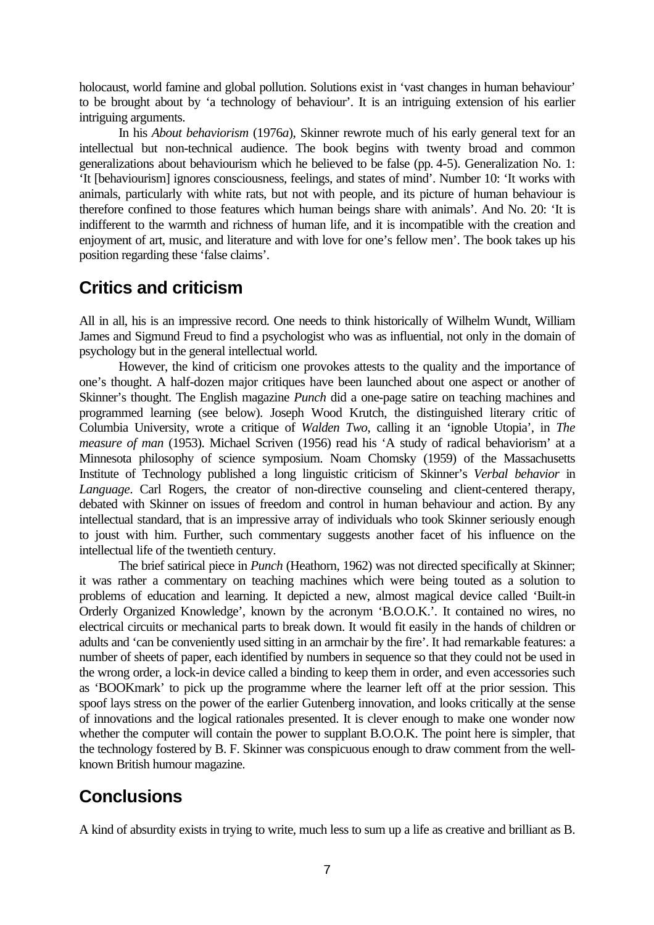holocaust, world famine and global pollution. Solutions exist in 'vast changes in human behaviour' to be brought about by 'a technology of behaviour'. It is an intriguing extension of his earlier intriguing arguments.

In his *About behaviorism* (1976*a*), Skinner rewrote much of his early general text for an intellectual but non-technical audience. The book begins with twenty broad and common generalizations about behaviourism which he believed to be false (pp. 4-5). Generalization No. 1: 'It [behaviourism] ignores consciousness, feelings, and states of mind'. Number 10: 'It works with animals, particularly with white rats, but not with people, and its picture of human behaviour is therefore confined to those features which human beings share with animals'. And No. 20: 'It is indifferent to the warmth and richness of human life, and it is incompatible with the creation and enjoyment of art, music, and literature and with love for one's fellow men'. The book takes up his position regarding these 'false claims'.

## **Critics and criticism**

All in all, his is an impressive record. One needs to think historically of Wilhelm Wundt, William James and Sigmund Freud to find a psychologist who was as influential, not only in the domain of psychology but in the general intellectual world.

However, the kind of criticism one provokes attests to the quality and the importance of one's thought. A half-dozen major critiques have been launched about one aspect or another of Skinner's thought. The English magazine *Punch* did a one-page satire on teaching machines and programmed learning (see below). Joseph Wood Krutch, the distinguished literary critic of Columbia University, wrote a critique of *Walden Two*, calling it an 'ignoble Utopia', in *The measure of man* (1953). Michael Scriven (1956) read his 'A study of radical behaviorism' at a Minnesota philosophy of science symposium. Noam Chomsky (1959) of the Massachusetts Institute of Technology published a long linguistic criticism of Skinner's *Verbal behavior* in *Language*. Carl Rogers, the creator of non-directive counseling and client-centered therapy, debated with Skinner on issues of freedom and control in human behaviour and action. By any intellectual standard, that is an impressive array of individuals who took Skinner seriously enough to joust with him. Further, such commentary suggests another facet of his influence on the intellectual life of the twentieth century.

The brief satirical piece in *Punch* (Heathorn, 1962) was not directed specifically at Skinner; it was rather a commentary on teaching machines which were being touted as a solution to problems of education and learning. It depicted a new, almost magical device called 'Built-in Orderly Organized Knowledge', known by the acronym 'B.O.O.K.'. It contained no wires, no electrical circuits or mechanical parts to break down. It would fit easily in the hands of children or adults and 'can be conveniently used sitting in an armchair by the fire'. It had remarkable features: a number of sheets of paper, each identified by numbers in sequence so that they could not be used in the wrong order, a lock-in device called a binding to keep them in order, and even accessories such as 'BOOKmark' to pick up the programme where the learner left off at the prior session. This spoof lays stress on the power of the earlier Gutenberg innovation, and looks critically at the sense of innovations and the logical rationales presented. It is clever enough to make one wonder now whether the computer will contain the power to supplant B.O.O.K. The point here is simpler, that the technology fostered by B. F. Skinner was conspicuous enough to draw comment from the wellknown British humour magazine.

# **Conclusions**

A kind of absurdity exists in trying to write, much less to sum up a life as creative and brilliant as B.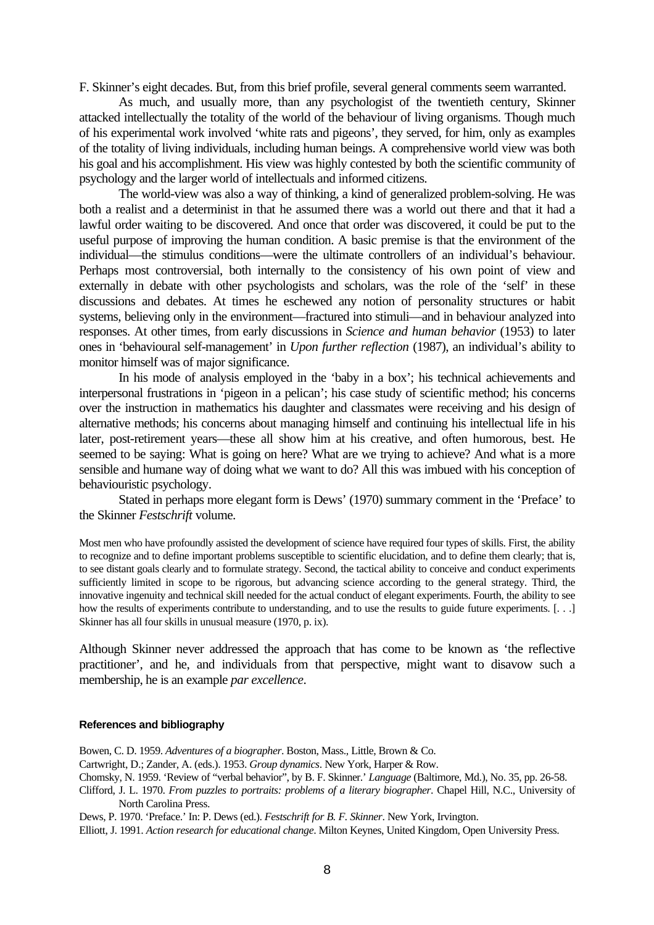F. Skinner's eight decades. But, from this brief profile, several general comments seem warranted.

As much, and usually more, than any psychologist of the twentieth century, Skinner attacked intellectually the totality of the world of the behaviour of living organisms. Though much of his experimental work involved 'white rats and pigeons', they served, for him, only as examples of the totality of living individuals, including human beings. A comprehensive world view was both his goal and his accomplishment. His view was highly contested by both the scientific community of psychology and the larger world of intellectuals and informed citizens.

The world-view was also a way of thinking, a kind of generalized problem-solving. He was both a realist and a determinist in that he assumed there was a world out there and that it had a lawful order waiting to be discovered. And once that order was discovered, it could be put to the useful purpose of improving the human condition. A basic premise is that the environment of the individual—the stimulus conditions—were the ultimate controllers of an individual's behaviour. Perhaps most controversial, both internally to the consistency of his own point of view and externally in debate with other psychologists and scholars, was the role of the 'self' in these discussions and debates. At times he eschewed any notion of personality structures or habit systems, believing only in the environment—fractured into stimuli—and in behaviour analyzed into responses. At other times, from early discussions in *Science and human behavior* (1953) to later ones in 'behavioural self-management' in *Upon further reflection* (1987), an individual's ability to monitor himself was of major significance.

In his mode of analysis employed in the 'baby in a box'; his technical achievements and interpersonal frustrations in 'pigeon in a pelican'; his case study of scientific method; his concerns over the instruction in mathematics his daughter and classmates were receiving and his design of alternative methods; his concerns about managing himself and continuing his intellectual life in his later, post-retirement years—these all show him at his creative, and often humorous, best. He seemed to be saying: What is going on here? What are we trying to achieve? And what is a more sensible and humane way of doing what we want to do? All this was imbued with his conception of behaviouristic psychology.

Stated in perhaps more elegant form is Dews' (1970) summary comment in the 'Preface' to the Skinner *Festschrift* volume.

Most men who have profoundly assisted the development of science have required four types of skills. First, the ability to recognize and to define important problems susceptible to scientific elucidation, and to define them clearly; that is, to see distant goals clearly and to formulate strategy. Second, the tactical ability to conceive and conduct experiments sufficiently limited in scope to be rigorous, but advancing science according to the general strategy. Third, the innovative ingenuity and technical skill needed for the actual conduct of elegant experiments. Fourth, the ability to see how the results of experiments contribute to understanding, and to use the results to guide future experiments. [...] Skinner has all four skills in unusual measure (1970, p. ix).

Although Skinner never addressed the approach that has come to be known as 'the reflective practitioner', and he, and individuals from that perspective, might want to disavow such a membership, he is an example *par excellence*.

#### **References and bibliography**

Bowen, C. D. 1959. *Adventures of a biographer*. Boston, Mass., Little, Brown & Co.

Cartwright, D.; Zander, A. (eds.). 1953. *Group dynamics*. New York, Harper & Row.

Chomsky, N. 1959. 'Review of "verbal behavior", by B. F. Skinner.' *Language* (Baltimore, Md.), No. 35, pp. 26-58.

Clifford, J. L. 1970. *From puzzles to portraits: problems of a literary biographer*. Chapel Hill, N.C., University of North Carolina Press.

Dews, P. 1970. 'Preface.' In: P. Dews (ed.). *Festschrift for B. F. Skinner*. New York, Irvington.

Elliott, J. 1991. *Action research for educational change*. Milton Keynes, United Kingdom, Open University Press.